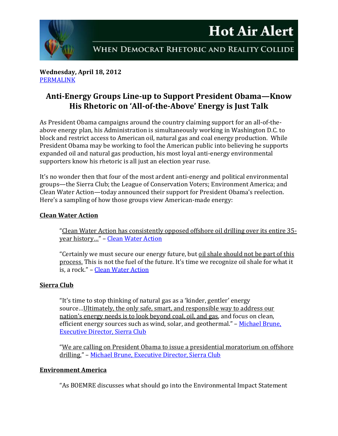

**Wednesday, April 18, 2012** [PERMALINK](http://naturalresources.house.gov/News/DocumentSingle.aspx?DocumentID=290789)

# **Anti-Energy Groups Line-up to Support President Obama—Know His Rhetoric on 'All-of-the-Above' Energy is Just Talk**

As President Obama campaigns around the country claiming support for an all-of-theabove energy plan, his Administration is simultaneously working in Washington D.C. to block and restrict access to American oil, natural gas and coal energy production. While President Obama may be working to fool the American public into believing he supports expanded oil and natural gas production, his most loyal anti-energy environmental supporters know his rhetoric is all just an election year ruse.

It's no wonder then that four of the most ardent anti-energy and political environmental groups—the Sierra Club; the League of Conservation Voters; Environment America; and Clean Water Action—today announced their support for President Obama's reelection. Here's a sampling of how those groups view American-made energy:

## **Clean Water Action**

"Clean Water Action has consistently opposed offshore oil drilling over its entire 35 year history…" – [Clean Water Action](http://www.cleanwateraction.org/positionstatement/oil-water-don%E2%80%99t-mix-never-have)

"Certainly we must secure our energy future, but oil shale should not be part of this process. This is not the fuel of the future. It's time we recognize oil shale for what it is, a rock." – [Clean Water Action](http://www.cleanwateraction.org/feature/oil-from-rocks)

### **Sierra Club**

"It's time to stop thinking of natural gas as a 'kinder, gentler' energy source…Ultimately, the only safe, smart, and responsible way to address our nation's energy needs is to look beyond coal, oil, and gas, and focus on clean, efficient energy sources such as wind, solar, and geothermal." – Michael Brune, [Executive Director, Sierra Club](http://www.huffingtonpost.com/michael-brune/the-sierra-club-and-natur_b_1251173.html)

"We are calling on President Obama to issue a presidential moratorium on offshore drilling." – [Michael Brune, Executive Director, Sierra Club](http://action.sierraclub.org/site/MessageViewer?em_id=181094.0)

### **Environment America**

"As BOEMRE discusses what should go into the Environmental Impact Statement